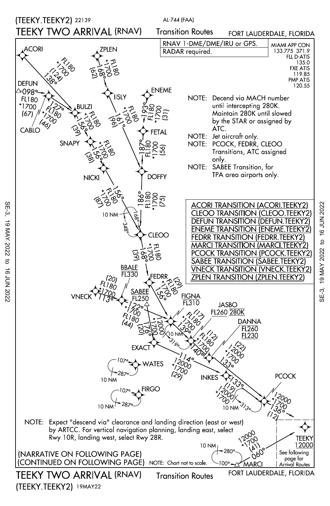

SE-3, 19 MAY 2022 to 16 JUN 2022

 $\sigma$ 

16 JUN 2022

19 MAY 2022

SE-3,